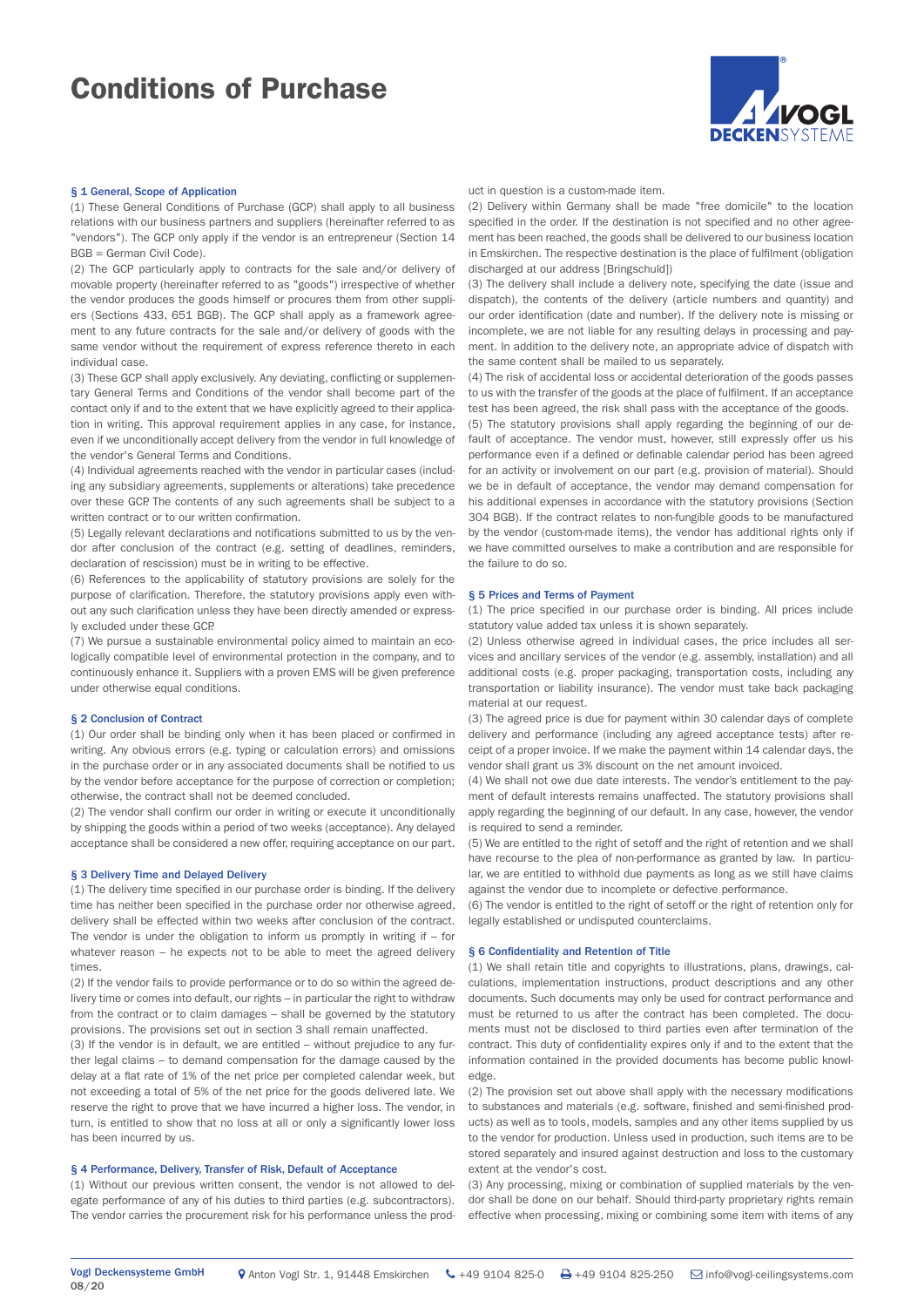# Conditions of Purchase



### § 1 General, Scope of Application

(1) These General Conditions of Purchase (GCP) shall apply to all business relations with our business partners and suppliers (hereinafter referred to as "vendors"). The GCP only apply if the vendor is an entrepreneur (Section 14 BGB = German Civil Code).

(2) The GCP particularly apply to contracts for the sale and/or delivery of movable property (hereinafter referred to as "goods") irrespective of whether the vendor produces the goods himself or procures them from other suppliers (Sections 433, 651 BGB). The GCP shall apply as a framework agreement to any future contracts for the sale and/or delivery of goods with the same vendor without the requirement of express reference thereto in each individual case.

(3) These GCP shall apply exclusively. Any deviating, conflicting or supplementary General Terms and Conditions of the vendor shall become part of the contact only if and to the extent that we have explicitly agreed to their application in writing. This approval requirement applies in any case, for instance, even if we unconditionally accept delivery from the vendor in full knowledge of the vendor's General Terms and Conditions.

(4) Individual agreements reached with the vendor in particular cases (including any subsidiary agreements, supplements or alterations) take precedence over these GCP. The contents of any such agreements shall be subject to a written contract or to our written confirmation.

(5) Legally relevant declarations and notifications submitted to us by the vendor after conclusion of the contract (e.g. setting of deadlines, reminders, declaration of rescission) must be in writing to be effective.

(6) References to the applicability of statutory provisions are solely for the purpose of clarification. Therefore, the statutory provisions apply even without any such clarification unless they have been directly amended or expressly excluded under these GCP.

(7) We pursue a sustainable environmental policy aimed to maintain an ecologically compatible level of environmental protection in the company, and to continuously enhance it. Suppliers with a proven EMS will be given preference under otherwise equal conditions.

### § 2 Conclusion of Contract

(1) Our order shall be binding only when it has been placed or confirmed in writing. Any obvious errors (e.g. typing or calculation errors) and omissions in the purchase order or in any associated documents shall be notified to us by the vendor before acceptance for the purpose of correction or completion; otherwise, the contract shall not be deemed concluded.

(2) The vendor shall confirm our order in writing or execute it unconditionally by shipping the goods within a period of two weeks (acceptance). Any delayed acceptance shall be considered a new offer, requiring acceptance on our part.

### § 3 Delivery Time and Delayed Delivery

(1) The delivery time specified in our purchase order is binding. If the delivery time has neither been specified in the purchase order nor otherwise agreed, delivery shall be effected within two weeks after conclusion of the contract. The vendor is under the obligation to inform us promptly in writing if  $-$  for whatever reason – he expects not to be able to meet the agreed delivery times.

(2) If the vendor fails to provide performance or to do so within the agreed delivery time or comes into default, our rights – in particular the right to withdraw from the contract or to claim damages – shall be governed by the statutory provisions. The provisions set out in section 3 shall remain unaffected.

(3) If the vendor is in default, we are entitled – without prejudice to any further legal claims – to demand compensation for the damage caused by the delay at a flat rate of 1% of the net price per completed calendar week, but not exceeding a total of 5% of the net price for the goods delivered late. We reserve the right to prove that we have incurred a higher loss. The vendor, in turn, is entitled to show that no loss at all or only a significantly lower loss has been incurred by us.

## § 4 Performance, Delivery, Transfer of Risk, Default of Acceptance

(1) Without our previous written consent, the vendor is not allowed to delegate performance of any of his duties to third parties (e.g. subcontractors). The vendor carries the procurement risk for his performance unless the product in question is a custom-made item.

(2) Delivery within Germany shall be made "free domicile" to the location specified in the order. If the destination is not specified and no other agreement has been reached, the goods shall be delivered to our business location in Emskirchen. The respective destination is the place of fulfilment (obligation discharged at our address [Bringschuld])

(3) The delivery shall include a delivery note, specifying the date (issue and dispatch), the contents of the delivery (article numbers and quantity) and our order identification (date and number). If the delivery note is missing or incomplete, we are not liable for any resulting delays in processing and payment. In addition to the delivery note, an appropriate advice of dispatch with the same content shall be mailed to us separately.

(4) The risk of accidental loss or accidental deterioration of the goods passes to us with the transfer of the goods at the place of fulfilment. If an acceptance test has been agreed, the risk shall pass with the acceptance of the goods. (5) The statutory provisions shall apply regarding the beginning of our default of acceptance. The vendor must, however, still expressly offer us his performance even if a defined or definable calendar period has been agreed for an activity or involvement on our part (e.g. provision of material). Should we be in default of acceptance, the vendor may demand compensation for his additional expenses in accordance with the statutory provisions (Section 304 BGB). If the contract relates to non-fungible goods to be manufactured by the vendor (custom-made items), the vendor has additional rights only if we have committed ourselves to make a contribution and are responsible for the failure to do so.

### § 5 Prices and Terms of Payment

(1) The price specified in our purchase order is binding. All prices include statutory value added tax unless it is shown separately.

(2) Unless otherwise agreed in individual cases, the price includes all services and ancillary services of the vendor (e.g. assembly, installation) and all additional costs (e.g. proper packaging, transportation costs, including any transportation or liability insurance). The vendor must take back packaging material at our request.

(3) The agreed price is due for payment within 30 calendar days of complete delivery and performance (including any agreed acceptance tests) after receipt of a proper invoice. If we make the payment within 14 calendar days, the vendor shall grant us 3% discount on the net amount invoiced.

(4) We shall not owe due date interests. The vendor's entitlement to the payment of default interests remains unaffected. The statutory provisions shall apply regarding the beginning of our default. In any case, however, the vendor is required to send a reminder.

(5) We are entitled to the right of setoff and the right of retention and we shall have recourse to the plea of non-performance as granted by law. In particular, we are entitled to withhold due payments as long as we still have claims against the vendor due to incomplete or defective performance.

(6) The vendor is entitled to the right of setoff or the right of retention only for legally established or undisputed counterclaims.

## § 6 Confidentiality and Retention of Title

(1) We shall retain title and copyrights to illustrations, plans, drawings, calculations, implementation instructions, product descriptions and any other documents. Such documents may only be used for contract performance and must be returned to us after the contract has been completed. The documents must not be disclosed to third parties even after termination of the contract. This duty of confidentiality expires only if and to the extent that the information contained in the provided documents has become public knowledge.

(2) The provision set out above shall apply with the necessary modifications to substances and materials (e.g. software, finished and semi-finished products) as well as to tools, models, samples and any other items supplied by us to the vendor for production. Unless used in production, such items are to be stored separately and insured against destruction and loss to the customary extent at the vendor's cost.

(3) Any processing, mixing or combination of supplied materials by the vendor shall be done on our behalf. Should third-party proprietary rights remain effective when processing, mixing or combining some item with items of any